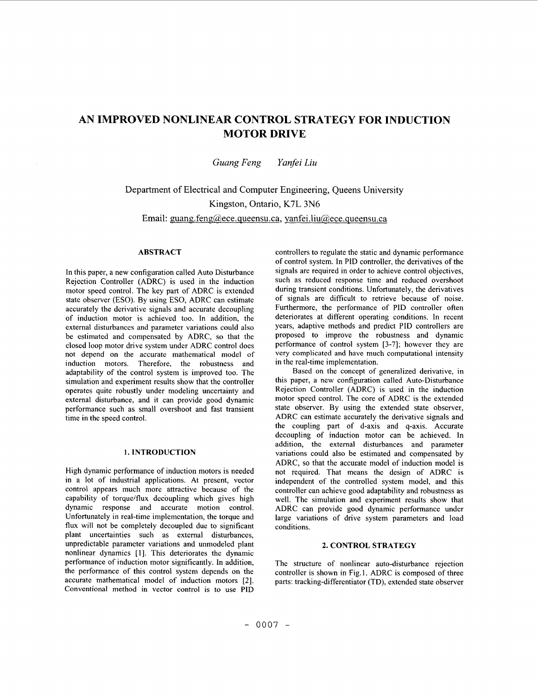# **AN IMPROVED NONLINEAR CONTROL STRATEGY FOR INDUCTION MOTOR DRIVE**

*Guung Feng Yunfei Liu* 

Department of Electrical and Computer Engineering, Queens University Kingston, Ontario, K7L 3N6 Email: guang.feng@ece.queensu.ca, **vanfei.liu@,ece.queensu.ca** 

# **ABSTRACT**

In this paper, a new configuration called Auto Disturbance Rejection Controller (ADRC) is used in the induction motor speed control. The key part of ADRC is extended state observer (ESO). By using ESO, ADRC can estimate accurately the derivative signals and accurate decoupling of induction motor is achieved too. In addition, the external disturbances and parameter variations could also be estimated and compensated by ADRC, *so* that the closed loop motor drive system under ADRC control does not depend on the accurate mathematical model **of**  induction motors. Therefore, the robustness and adaptability of the control system is improved too. The simulation and experiment results show that the controller operates quite robustly under modeling uncertainty and external disturbance, and it can provide good dynamic performance such as small overshoot and fast transient time in the speed control.

# **1. INTRODUCTION**

High dynamic performance of induction motors is needed in a lot of industrial applications. At present, vector control appears much more attractive because of the capability of torque/flux decoupling which gives high dynamic response and accurate motion control. Unfortunately in real-time implementation, the torque and flux will not be completely decoupled due to significant plant uncertainties such as external disturbances, unpredictable parameter variations and unmodeled plant nonlinear dynamics [1]. This deteriorates the dynamic performance of induction motor significantly. In addition, the performance of this control system depends on the accurate mathematical model of induction motors *[2].*  Conventional method in vector control is to use PID controllers to regulate the static and dynamic performance of control system. In PID controller, the derivatives of the signals are required in order to achieve control objectives, such as reduced response time and reduced overshoot during transient conditions. Unfortunately, the derivatives of signals are difficult to retrieve because of noise. Furthermore, the performance of PID controller often deteriorates at different operating conditions. In recent years, adaptive methods and predict PID controllers are proposed to improve the robustness and dynamic performance of control system [3-71; however they are very complicated and have much computational intensity in the real-time implementation.

Based on the concept of generalized derivative, in this paper, a new configuration called Auto-Disturbance Rejection Controller (ADRC) is used in the induction motor speed control. The core of ADRC is the extended state observer. By using the extended state observer, ADRC can estimate accurately the derivative signals and the coupling part of d-axis and q-axis. Accurate decoupling of induction motor can be achieved. In addition, the external disturbances and parameter variations could also be estimated and compensated by ADRC, so that the accurate model of induction model is not required. That means the design of ADRC **is**  independent of the controlled system model, and this controller can achieve good adaptability and robustness as well. The simulation and experiment results show that ADRC can provide good dynamic performance under large variations of drive system parameters and load conditions.

## **2. CONTROL STRATEGY**

The structure of nonlinear auto-disturbance rejection controller is shown in [Fig. 1.](#page-1-0) ADRC is composed of three parts: tracking-differentiator (TD), extended state observer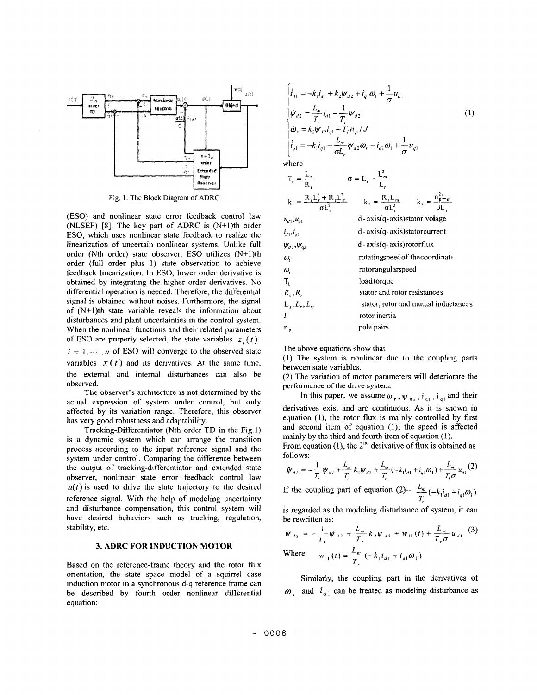<span id="page-1-0"></span>

**Fig.** 1. The Block Diagram **of** ADRC

(ESO) and nonlinear state error feedback control law (NLSEF) **[8].** The key part of ADRC is (N+l)th order ESO, which uses nonlinear state feedback to realize the linearization of uncertain nonlinear systems. Unlike full order (Nth order) state observer, ESO utilizes (N+l)th order (full order plus **1)** state observation to achieve feedback linearization. In ESO, lower order derivative is obtained by integrating the higher order derivatives. No differential operation is needed. Therefore, the differential signal is obtained without noises. Furthermore, the signal of (N+I)th state variable reveals the information about disturbances and plant uncertainties in the control system. When the nonlinear functions and their related parameters of ESO are properly selected, the state variables  $z_i(t)$  $i = 1, \dots, n$  of ESO will converge to the observed state

variables  $x(t)$  and its derivatives. At the same time, the extemal and internal disturbances can also be observed.

**The** observer's architecture is not determined by the actual expression of system under control, but only affected by its variation range. Therefore, this observer has very good robustness and adaptability.

Tracking-Differentiator (Nth order TD in the Fig. 1) is a dynamic system which can arrange the transition process according to the input reference signal and the system under control. Comparing the difference between the output of tracking-differentiator and extended state observer, nonlinear state error feedback control law  $u(t)$  is used to drive the state trajectory to the desired reference signal. With the help **of** modeling uncertainty and disturbance compensation, this control system will have desired behaviors such as tracking, regulation, stability, etc.

# **3. ADRC FOR INDUCTION MOTOR**

Based on the reference-frame theory and the rotor flux orientation, the state space model of a squirrel case induction motor in a synchronous d-q reference frame can be described by fourth order nonlinear differential equation:

$$
\begin{cases}\n\dot{i}_{d1} = -k_1 \dot{i}_{d1} + k_2 \psi_{d2} + i_{q1} \omega_1 + \frac{1}{\sigma} u_{d1} \\
\dot{\psi}_{d2} = \frac{L_m}{T_r} \dot{i}_{d1} - \frac{1}{T_r} \psi_{d2} \\
\dot{\omega}_r = k_3 \psi_{d2} \dot{i}_{q1} - T_L n_p / J \\
\dot{i}_{q1} = -k_1 \dot{i}_{q1} - \frac{L_m}{\sigma L_r} \psi_{d2} \omega_r - i_{d1} \omega_1 + \frac{1}{\sigma} u_{q1}\n\end{cases}
$$
\n(1)

 $I<sup>2</sup>$ 

where

 $\mathbf{r}$ 

| $T_r = \frac{E_r}{R_r}$ | $\sigma = L_s - \frac{L_m}{I}$                                                                                          |
|-------------------------|-------------------------------------------------------------------------------------------------------------------------|
|                         | $k_1 = \frac{R_s L_r^2 + R_r L_m^2}{\sigma L_r^2}$ $k_2 = \frac{R_r L_m}{\sigma L_r^2}$ $k_3 = \frac{n_p^2 L_m}{J L_r}$ |
| $u_{d1}^{},u_{d1}^{}$   | $d$ - $axis(q-axis)$ stator votage                                                                                      |
| $i_{d1}, i_{d1}$        | $d$ - $axis(q-axis)$ stator current                                                                                     |
| $\psi_{d2}, \psi_{q2}$  | $d$ -axis $(q$ -axis) rotorflux                                                                                         |
| ω                       | rotatingspeed of the coordinate                                                                                         |
| ω,                      | rotorangularspeed                                                                                                       |
| T,                      | loadtorque                                                                                                              |
| $R_s, R_r$              | stator and rotor resistances                                                                                            |
| $Ls, Lr, Lm$            | stator, rotor and mutual inductances                                                                                    |
|                         | rotor inertia                                                                                                           |
| n,                      | pole pairs                                                                                                              |

The above equations show that

(1) The system is nonlinear due to the coupling parts between state variables.

**(2)** The variation of motor parameters will deteriorate the performance of **the** drive system.

In this paper, we assume  $\omega_r$ ,  $\psi_{d2}$ ,  $\mathbf{i}_{d1}$ ,  $\mathbf{i}_{q1}$  and their derivatives exist and are continuous. **As** it **is** shown in equation (l), the rotor flux is mainly controlled by first and second item of equation (1); the speed is affected mainly by the third and fourth item of equation (1).

From equation (1), the  $2^{nd}$  derivative of flux is obtained as follows:

$$
\ddot{\psi}_{d2} = -\frac{1}{T_r} \dot{\psi}_{d2} + \frac{L_m}{T_r} k_2 \psi_{d2} + \frac{L_m}{T_r} (-k_1 i_{d1} + i_{q1} \omega_1) + \frac{L_m}{T_r \sigma} u_{d1} (2)
$$

If the coupling part of equation (2)--  $\frac{L_m}{T_r}$  ( $-k_1 i_{d1} + i_{q1} \omega_1$ )

is regarded as the modeling disturbance of system, it can be rewritten as:

$$
\ddot{\psi}_{d2} = -\frac{1}{T_r} \dot{\psi}_{d2} + \frac{L_m}{T_r} k_2 \psi_{d2} + w_{11}(t) + \frac{L_m}{T_r \sigma} u_{d1}
$$
 (3)  
Where 
$$
w_{11}(t) = \frac{L_m}{T_r} (-k_1 i_{d1} + i_{q1} \omega_1)
$$

Similarly, the coupling part in the derivatives of  $\omega$ , and  $i_{q_1}$  can be treated as modeling disturbance as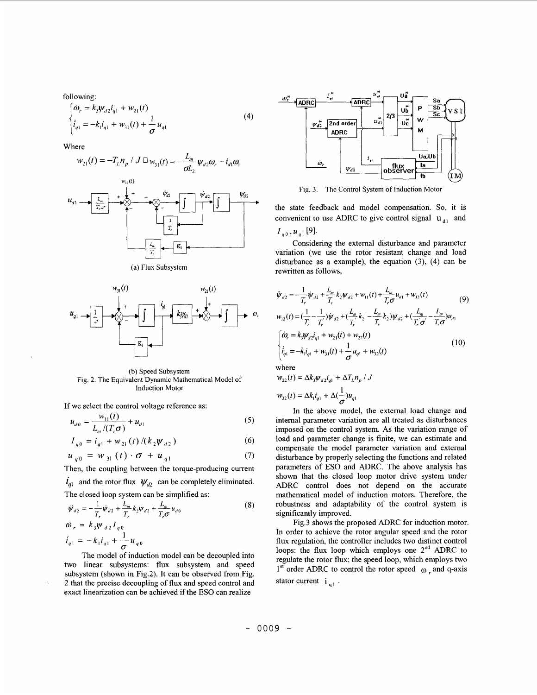following:

$$
\begin{cases} \dot{\omega}_r = k_3 \psi_{d2} i_{q1} + w_{21}(t) \\ \dot{i}_{q1} = -k_1 i_{q1} + w_{31}(t) + \frac{1}{\sigma} u_{q1} \end{cases}
$$
 (4)

Where

$$
w_{21}(t) = -T_{L}n_{p} / J \Box w_{31}(t) = -\frac{L_{m}}{\sigma L_{2}} \psi_{d2} \omega_{r} - i_{d1} \omega_{1}
$$



(a) **Flux** Subsystem



(b) Speed Subsystem Fig. **2.** The Equivalent Dynamic Mathematical Model of Induction Motor

If we select the control voltage reference as:

$$
u_{d0} = \frac{w_{11}(t)}{L_m/(T_r \sigma)} + u_{d1}
$$
 (5)

$$
I_{q0} = i_{q1} + w_{21}(t) / (k_2 \psi_{d2})
$$
 (6)

$$
u_{q0} = w_{31}(t) \cdot \sigma + u_{q1} \tag{7}
$$

Then, the coupling between the torque-producing current

 $\mathbf{i}_{q1}$  and the rotor flux  $\mathbf{\psi}_{q2}$  can be completely eliminated. The closed loop system can be simplified as:

$$
\ddot{\psi}_{d2} = -\frac{1}{T_r} \dot{\psi}_{d2} + \frac{L_m}{T_r} k_2 \psi_{d2} + \frac{L_m}{T_r \sigma} u_{d0}
$$
\n
$$
\dot{\omega}_r = k_3 \psi_{d2} I_{q0}
$$
\n
$$
\dot{i}_{q1} = -k_1 \dot{i}_{q1} + \frac{1}{\sigma} u_{q0}
$$
\n(8)

The model of induction model can be decoupled into two linear subsystems: flux subsystem and speed subsystem (shown in Fig.2). It can be observed from Fig. *2* that the precise decoupling of flux and speed control and exact linearization can be achieved if the ESO can realize



Fig. *3.* The Control System of Induction Motor

the state feedback and model compensation. *So,* it is convenient to use ADRC to give control signal  $u_{d1}$  and  $I_{q0}$ ,  $u_{q1}$ [9].

Considering the external disturbance and parameter variation (we use the rotor resistant change and load disturbance as a example), the equation  $(3)$ ,  $(4)$  can be rewritten as follows,

$$
\ddot{\psi}_{d2} = -\frac{1}{T_r} \dot{\psi}_{d2} + \frac{L_m}{T_r} k_2 \psi_{d2} + w_{11}(t) + \frac{L_m}{T_r \sigma} u_{d1} + w_{12}(t) \tag{9}
$$
\n
$$
w_{12}(t) = (\frac{1}{T_r} - \frac{1}{T_r}) \dot{\psi}_{d2} + (\frac{L_m}{T_r} k_2 - \frac{L_m}{T_r} k_2) \psi_{d2} + (\frac{L_m}{T_r \sigma} - \frac{L_m}{T_r \sigma}) u_{d1}
$$
\n
$$
\begin{cases}\n\dot{\omega}_r = k_3 \psi_{d2} i_{q1} + w_{21}(t) + w_{22}(t) \\
\dot{i}_{q1} = -k_1 i_{q1} + w_{31}(t) + \frac{1}{\sigma} u_{q1} + w_{32}(t)\n\end{cases} \tag{10}
$$

where

$$
w_{22}(t) = \Delta k_3 \psi_{d2} i_{q1} + \Delta T_L n_p / J
$$

$$
w_{32}(t) = \Delta k_1 i_{q1} + \Delta (\frac{1}{\sigma}) u_{q1}
$$

In the above model, the external load change and internal parameter variation are all treated as disturbances imposed on the control system. **As** the variation range **of**  load and parameter change is finite, we can estimate and compensate the model parameter variation and external disturbance by properly selecting the functions and related parameters of **ESO** and ADRC. The above analysis has shown that the closed loop motor drive system under ADRC control does not depend on the accurate mathematical model of induction motors. Therefore, the robustness and adaptability **of** the control system is significantly improved.

Fig.3 shows the proposed ADRC for induction motor. In order to achieve the rotor angular speed and the rotor flux regulation, the controller includes two distinct control loops: the flux loop which employs one  $2<sup>nd</sup>$  ADRC to regulate the rotor flux; the speed loop, which employs two 1<sup>st</sup> order ADRC to control the rotor speed  $\omega_r$  and q-axis stator current  $i_{a1}$ .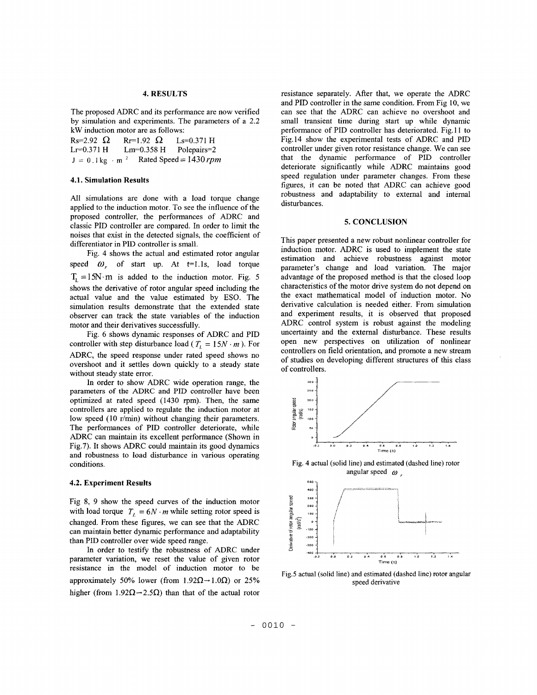## **4. RESULTS**

The proposed ADRC and its performance are now verified by simulation and experiments. The parameters of a 2.2 kW induction motor are as follows:<br>Rs=2.92  $\Omega$  Rr=1.92  $\Omega$  Ls

 $Rs=2.92 \Omega$   $Rr=1.92 \Omega$   $Ls=0.371 \text{ H}$ <br> $Lr=0.371 \text{ H}$   $Lm=0.358 \text{ H}$  Polepairs=2 Lr=0.371 H Lm=0.358 H<br>J = 0.1 kg · m<sup>2</sup> Rated Sp Rated Speed  $= 1430$  *rpm* 

### **4.1. Simulation Results**

All simulations are done with a load torque change applied to the induction motor. To see the influence of the proposed controller, the performances of ADRC and classic PID controller are compared. In order to limit the noises that exist in the detected signals, the coefficient of differentiator in PID controller is small.

Fig. 4 shows the actual and estimated rotor angular speed  $\omega_r$  of start up. At t=1.1s, load torque  $T_1 = 15N \cdot m$  is added to the induction motor. Fig. 5 shows the derivative **of** rotor angular speed including the actual value and the value estimated by **ESO.** The simulation results demonstrate that the extended state observer can track the state variables **of** the induction motor and their derivatives successfully.

[Fig.](#page-4-0) **6** shows dynamic responses of ADRC and PID controller with step disturbance load ( $T<sub>L</sub> = 15N \cdot m$ ). For ADRC, the speed response under rated speed shows no overshoot and it settles down quickly to a steady state without steady state error.

In order to show ADRC wide operation range, the parameters **of** the ADRC and PID controller have been optimized at rated speed (1430 rpm). Then, the same controllers are applied to regulate the induction motor at low speed (10 r/min) without changing their parameters. The performances of PID controller deteriorate, while ADRC can maintain its excellent performance (Shown in Fig.7). It shows ADRC could maintain its good dynamics and robustness to load disturbance in various operating conditions.

#### **4.2. Experiment Results**

Fig **8,** 9 show the speed curves of the induction motor with load torque  $T<sub>f</sub> = 6N \cdot m$  while setting rotor speed is changed. From these figures, we can see that the ADRC can maintain better dynamic performance and adaptability than PID controller over wide speed range.

In order to testify the robustness of ADRC under parameter variation, we reset the value of given rotor resistance in the model of induction motor to be approximately 50% lower (from 1.92 $\Omega \rightarrow 1.0 \Omega$ ) or 25% higher (from  $1.92\Omega \rightarrow 2.5\Omega$ ) than that of the actual rotor

resistance separately. After that, we operate the ADRC and PID controller in the same condition. From Fig 10, we can see that the ADRC can achieve no overshoot and small transient time during start up while dynamic performance of PID controller has deteriorated. [Fig.](#page-1-0) 1 **1** to Fig.14 show the experimental tests **of** ADRC and PID controller under given rotor resistance change. We can see that the dynamic performance of PID controller deteriorate significantly while ADRC maintains good speed regulation under parameter changes. From these figures, it can be noted that ADRC can achieve good robustness and adaptability to external and internal disturbances.

### **5. CONCLUSION**

This paper presented a new robust nonlinear controller for induction motor. ADRC is used to implement the state estimation and achieve robustness against motor parameter's change and load variation. The major advantage of the proposed method is that the closed loop characteristics of the motor drive system do not depend on the exact mathematical model of induction motor. No derivative calculation is needed either. From simulation and experiment results, it is observed that proposed ADRC control system is robust against the modeling uncertainty and the external disturbance. These results open new perspectives on utilization of nonlinear controllers on field orientation, and promote a new stream of studies on developing different structures of this class of controllers.



Fig. **4** actual (solid line) and estimated (dashed line) rotor angular speed  $\omega$ 



Fig.5 actual (solid line) and estimated (dashed line) **rotor** angular speed derivative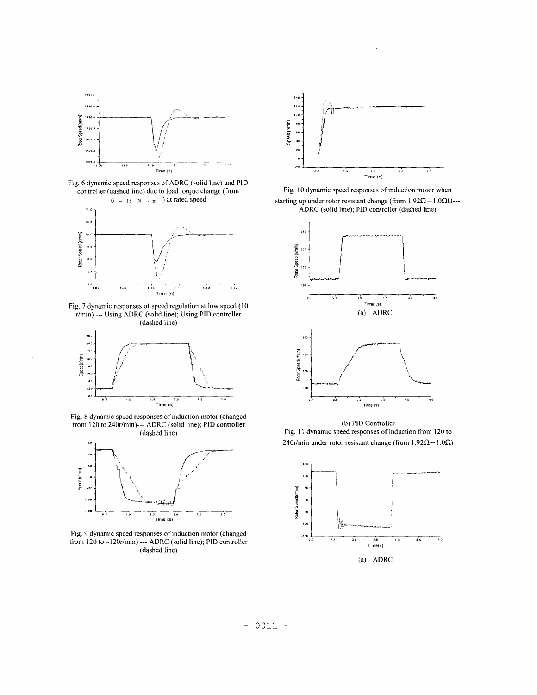<span id="page-4-0"></span>

Fig. 6 dynamic speed responses of ADRC (solid line) and PID controller (dashed line) due to load torque change (from



Fig. 7 dynamic responses of speed regulation at low speed (10 r/min) --- Using ADRC (solid line); Using PID controller (dashed line)



Fig. **8** dynamic speed responses of induction motor (changed from 120 to 240r/min)--- ADRC (solid line); PID controller (dashed line)



Fig. 9 dynamic speed responses of induction motor (changed from **120** to -120r/min) --- ADRC (solid line); PID controller (dashed line)



Fig. 10 dynamic speed responses of induction motor when starting up under rotor resistant change (from  $1.92\Omega \rightarrow 1.0\Omega$  ---ADRC (solid line); PID controller (dashed line)



(b) PID Controller [Fig.](#page-1-0) 1 **1** dynamic speed responses of induction from 120 to 240r/min under rotor resistant change (from  $1.92\Omega \rightarrow 1.0\Omega$ )